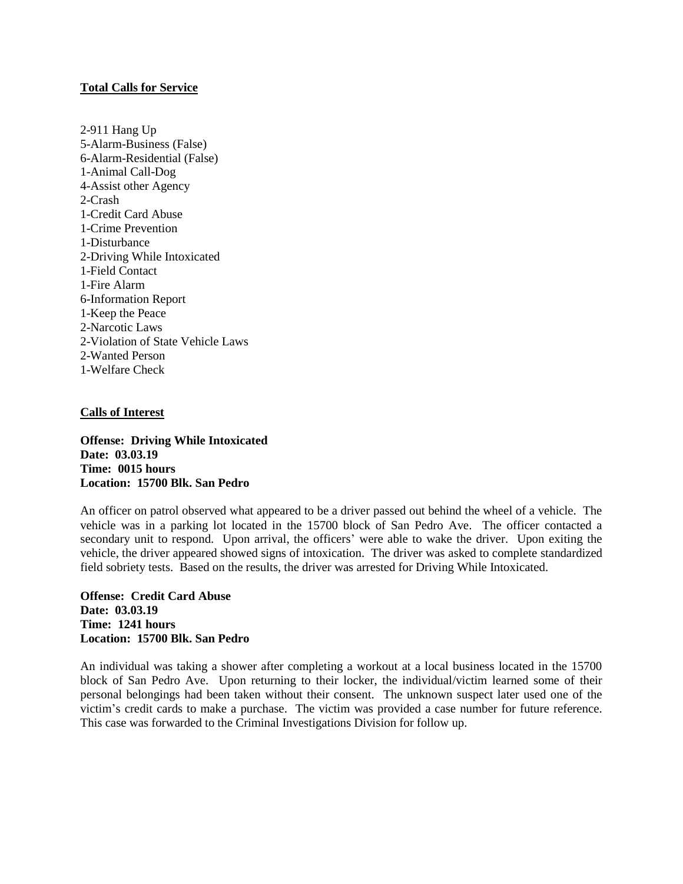# **Total Calls for Service**

2-911 Hang Up 5-Alarm-Business (False) 6-Alarm-Residential (False) 1-Animal Call-Dog 4-Assist other Agency 2-Crash 1-Credit Card Abuse 1-Crime Prevention 1-Disturbance 2-Driving While Intoxicated 1-Field Contact 1-Fire Alarm 6-Information Report 1-Keep the Peace 2-Narcotic Laws 2-Violation of State Vehicle Laws 2-Wanted Person 1-Welfare Check

#### **Calls of Interest**

**Offense: Driving While Intoxicated Date: 03.03.19 Time: 0015 hours Location: 15700 Blk. San Pedro**

An officer on patrol observed what appeared to be a driver passed out behind the wheel of a vehicle. The vehicle was in a parking lot located in the 15700 block of San Pedro Ave. The officer contacted a secondary unit to respond. Upon arrival, the officers' were able to wake the driver. Upon exiting the vehicle, the driver appeared showed signs of intoxication. The driver was asked to complete standardized field sobriety tests. Based on the results, the driver was arrested for Driving While Intoxicated.

**Offense: Credit Card Abuse Date: 03.03.19 Time: 1241 hours Location: 15700 Blk. San Pedro**

An individual was taking a shower after completing a workout at a local business located in the 15700 block of San Pedro Ave. Upon returning to their locker, the individual/victim learned some of their personal belongings had been taken without their consent. The unknown suspect later used one of the victim's credit cards to make a purchase. The victim was provided a case number for future reference. This case was forwarded to the Criminal Investigations Division for follow up.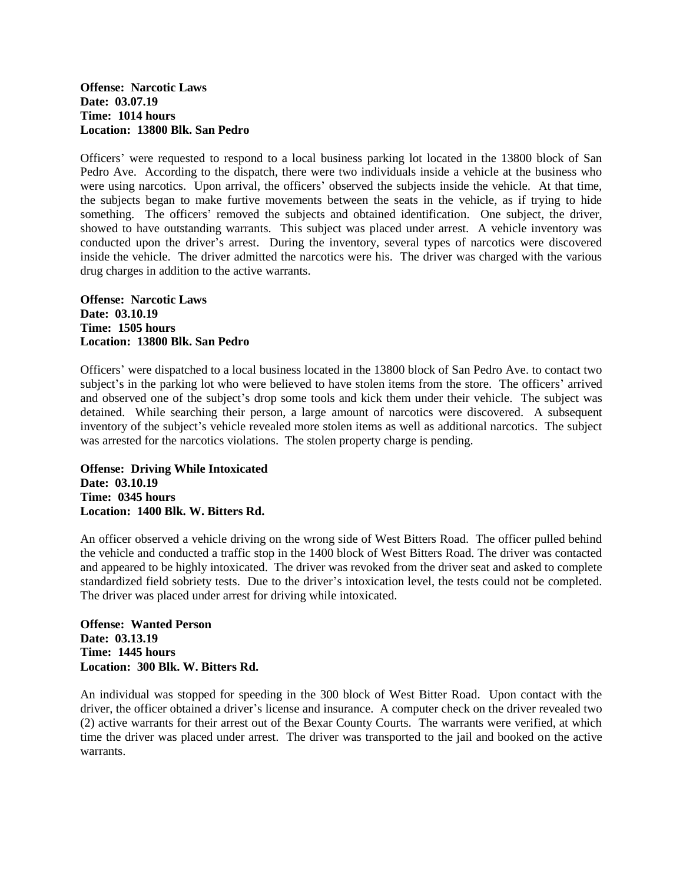### **Offense: Narcotic Laws Date: 03.07.19 Time: 1014 hours Location: 13800 Blk. San Pedro**

Officers' were requested to respond to a local business parking lot located in the 13800 block of San Pedro Ave. According to the dispatch, there were two individuals inside a vehicle at the business who were using narcotics. Upon arrival, the officers' observed the subjects inside the vehicle. At that time, the subjects began to make furtive movements between the seats in the vehicle, as if trying to hide something. The officers' removed the subjects and obtained identification. One subject, the driver, showed to have outstanding warrants. This subject was placed under arrest. A vehicle inventory was conducted upon the driver's arrest. During the inventory, several types of narcotics were discovered inside the vehicle. The driver admitted the narcotics were his. The driver was charged with the various drug charges in addition to the active warrants.

### **Offense: Narcotic Laws Date: 03.10.19 Time: 1505 hours Location: 13800 Blk. San Pedro**

Officers' were dispatched to a local business located in the 13800 block of San Pedro Ave. to contact two subject's in the parking lot who were believed to have stolen items from the store. The officers' arrived and observed one of the subject's drop some tools and kick them under their vehicle. The subject was detained. While searching their person, a large amount of narcotics were discovered. A subsequent inventory of the subject's vehicle revealed more stolen items as well as additional narcotics. The subject was arrested for the narcotics violations. The stolen property charge is pending.

**Offense: Driving While Intoxicated Date: 03.10.19 Time: 0345 hours Location: 1400 Blk. W. Bitters Rd.**

An officer observed a vehicle driving on the wrong side of West Bitters Road. The officer pulled behind the vehicle and conducted a traffic stop in the 1400 block of West Bitters Road. The driver was contacted and appeared to be highly intoxicated. The driver was revoked from the driver seat and asked to complete standardized field sobriety tests. Due to the driver's intoxication level, the tests could not be completed. The driver was placed under arrest for driving while intoxicated.

**Offense: Wanted Person Date: 03.13.19 Time: 1445 hours Location: 300 Blk. W. Bitters Rd.**

An individual was stopped for speeding in the 300 block of West Bitter Road. Upon contact with the driver, the officer obtained a driver's license and insurance. A computer check on the driver revealed two (2) active warrants for their arrest out of the Bexar County Courts. The warrants were verified, at which time the driver was placed under arrest. The driver was transported to the jail and booked on the active warrants.